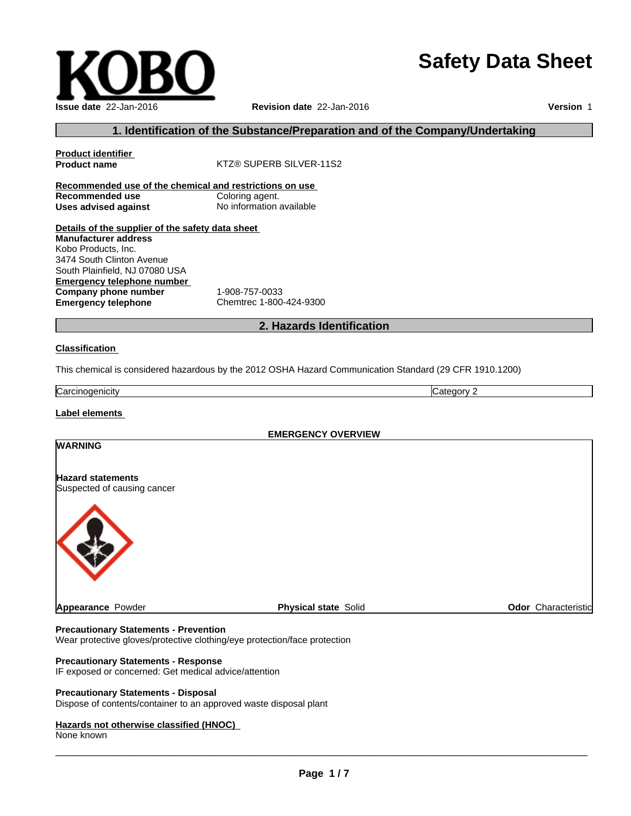# **Safety Data Sheet**

| <b>Issue date 22-Jan-2016</b> |
|-------------------------------|

#### **Issue date** 22-Jan-2016 **Revision date** 22-Jan-2016 **Version** 1

#### **1. Identification of the Substance/Preparation and of the Company/Undertaking**

| <b>Product identifier</b>                               |                          |
|---------------------------------------------------------|--------------------------|
| <b>Product name</b>                                     | KTZ® SUPERB SILVER-11S2  |
| Recommended use of the chemical and restrictions on use |                          |
| Recommended use                                         | Coloring agent.          |
| Uses advised against                                    | No information available |
| Details of the supplier of the safety data sheet        |                          |
| <b>Manufacturer address</b>                             |                          |
| Kobo Products, Inc.                                     |                          |
| 3474 South Clinton Avenue                               |                          |
| South Plainfield, NJ 07080 USA                          |                          |
| <b>Emergency telephone number</b>                       |                          |
| Company phone number                                    | 1-908-757-0033           |
| <b>Emergency telephone</b>                              | Chemtrec 1-800-424-9300  |
|                                                         |                          |

#### **2. Hazards Identification**

#### **Classification**

This chemical is considered hazardous by the 2012 OSHA Hazard Communication Standard (29 CFR 1910.1200)

**Carcinogenicity** Category 2

#### **Label elements**

**WARNING**

#### **EMERGENCY OVERVIEW**

## **Hazard statements**

Suspected of causing cancer



**Appearance** Powder **Physical state** Solid **Odor** Characteristic

#### **Precautionary Statements - Prevention**

Wear protective gloves/protective clothing/eye protection/face protection

#### **Precautionary Statements - Response**

IF exposed or concerned: Get medical advice/attention

#### **Precautionary Statements - Disposal**

Dispose of contents/container to an approved waste disposal plant

#### **Hazards not otherwise classified (HNOC)**

None known

 $\overline{\phantom{a}}$  ,  $\overline{\phantom{a}}$  ,  $\overline{\phantom{a}}$  ,  $\overline{\phantom{a}}$  ,  $\overline{\phantom{a}}$  ,  $\overline{\phantom{a}}$  ,  $\overline{\phantom{a}}$  ,  $\overline{\phantom{a}}$  ,  $\overline{\phantom{a}}$  ,  $\overline{\phantom{a}}$  ,  $\overline{\phantom{a}}$  ,  $\overline{\phantom{a}}$  ,  $\overline{\phantom{a}}$  ,  $\overline{\phantom{a}}$  ,  $\overline{\phantom{a}}$  ,  $\overline{\phantom{a}}$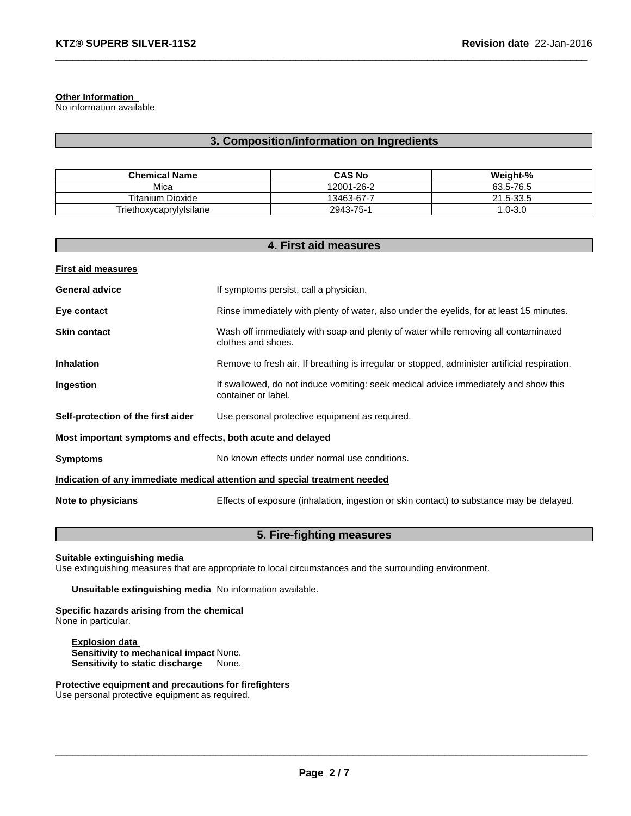#### **Other Information**

No information available

#### **3. Composition/information on Ingredients**

| <b>Chemical Name</b>    | <b>CAS No</b>    | Weight-%       |
|-------------------------|------------------|----------------|
| Mica                    | 12001-26-2       | 63.5-76.5      |
| Titanium Dioxide        | $13463 - 67 - 7$ | 1.5-33.5<br>21 |
| Triethoxycaprylylsilane | 2943-75-1        | $.0 - 3.0$     |

| 4. First aid measures                                                      |                                                                                                            |  |
|----------------------------------------------------------------------------|------------------------------------------------------------------------------------------------------------|--|
| <b>First aid measures</b>                                                  |                                                                                                            |  |
| <b>General advice</b>                                                      | If symptoms persist, call a physician.                                                                     |  |
| Eye contact                                                                | Rinse immediately with plenty of water, also under the eyelids, for at least 15 minutes.                   |  |
| <b>Skin contact</b>                                                        | Wash off immediately with soap and plenty of water while removing all contaminated<br>clothes and shoes.   |  |
| <b>Inhalation</b>                                                          | Remove to fresh air. If breathing is irregular or stopped, administer artificial respiration.              |  |
| Ingestion                                                                  | If swallowed, do not induce vomiting: seek medical advice immediately and show this<br>container or label. |  |
| Self-protection of the first aider                                         | Use personal protective equipment as required.                                                             |  |
| Most important symptoms and effects, both acute and delayed                |                                                                                                            |  |
| <b>Symptoms</b>                                                            | No known effects under normal use conditions.                                                              |  |
| Indication of any immediate medical attention and special treatment needed |                                                                                                            |  |
| Note to physicians                                                         | Effects of exposure (inhalation, ingestion or skin contact) to substance may be delayed.                   |  |

#### **5. Fire-fighting measures**

**Suitable extinguishing media**

Use extinguishing measures that are appropriate to local circumstances and the surrounding environment.

**Unsuitable extinguishing media** No information available.

## **Specific hazards arising from the chemical**

None in particular.

**Explosion data Sensitivity to mechanical impact** None. **Sensitivity to static discharge** None.

**Protective equipment and precautions for firefighters**

Use personal protective equipment as required.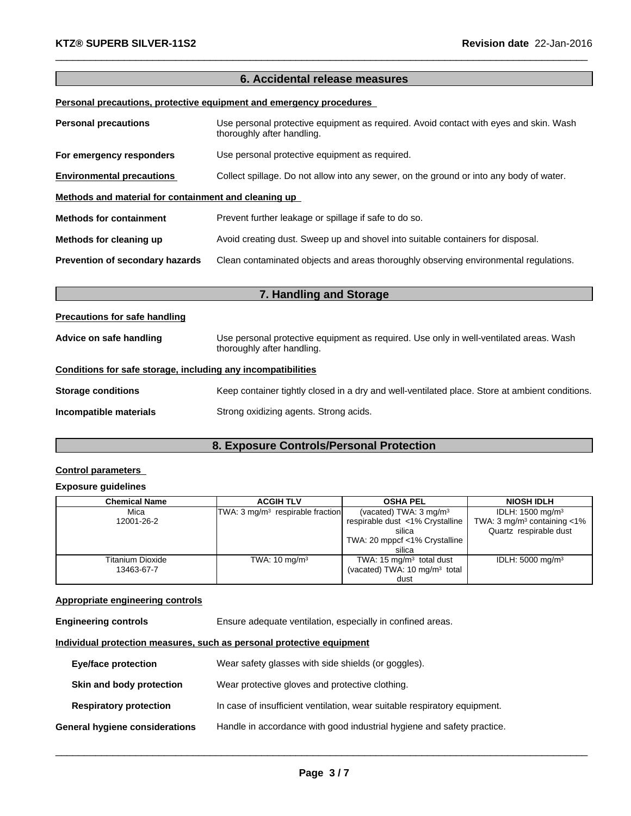#### **6. Accidental release measures**

#### **Personal precautions, protective equipment and emergency procedures**

| <b>Personal precautions</b>                          | Use personal protective equipment as required. Avoid contact with eyes and skin. Wash<br>thoroughly after handling. |  |  |
|------------------------------------------------------|---------------------------------------------------------------------------------------------------------------------|--|--|
| For emergency responders                             | Use personal protective equipment as required.                                                                      |  |  |
| <b>Environmental precautions</b>                     | Collect spillage. Do not allow into any sewer, on the ground or into any body of water.                             |  |  |
| Methods and material for containment and cleaning up |                                                                                                                     |  |  |
| <b>Methods for containment</b>                       | Prevent further leakage or spillage if safe to do so.                                                               |  |  |
| Methods for cleaning up                              | Avoid creating dust. Sweep up and shovel into suitable containers for disposal.                                     |  |  |
| Prevention of secondary hazards                      | Clean contaminated objects and areas thoroughly observing environmental regulations.                                |  |  |

| <b>Precautions for safe handling</b>                         |                                                                                                                      |
|--------------------------------------------------------------|----------------------------------------------------------------------------------------------------------------------|
| Advice on safe handling                                      | Use personal protective equipment as required. Use only in well-ventilated areas. Wash<br>thoroughly after handling. |
| Conditions for safe storage, including any incompatibilities |                                                                                                                      |
| <b>Storage conditions</b>                                    | Keep container tightly closed in a dry and well-ventilated place. Store at ambient conditions.                       |
| Incompatible materials                                       | Strong oxidizing agents. Strong acids.                                                                               |

**7. Handling and Storage**

## **8. Exposure Controls/Personal Protection**

#### **Control parameters**

#### **Exposure guidelines**

| Chemical Name    | <b>ACGIH TLV</b>                   | <b>OSHA PEL</b>                           | <b>NIOSH IDLH</b>                            |
|------------------|------------------------------------|-------------------------------------------|----------------------------------------------|
| Mica             | $TWA: 3 mg/m3$ respirable fraction | (vacated) TWA: $3 \text{ mg/m}^3$         | IDLH: 1500 mg/m <sup>3</sup>                 |
| 12001-26-2       |                                    | respirable dust <1% Crystalline           | TWA: $3 \text{ mg/m}^3$ containing $\lt 1\%$ |
|                  |                                    | silica                                    | Quartz respirable dust                       |
|                  |                                    | TWA: 20 mppcf <1% Crystalline             |                                              |
|                  |                                    | silica                                    |                                              |
| Titanium Dioxide | TWA: $10 \text{ mg/m}^3$           | TWA: 15 $mg/m3$ total dust                | IDLH: 5000 mg/m <sup>3</sup>                 |
| 13463-67-7       |                                    | (vacated) TWA: 10 mg/m <sup>3</sup> total |                                              |
|                  |                                    | dust                                      |                                              |

#### **Appropriate engineering controls**

**Engineering controls** Ensure adequate ventilation, especially in confined areas.

#### **Individual protection measures, such as personal protective equipment**

| <b>Eye/face protection</b>     | Wear safety glasses with side shields (or goggles).                       |
|--------------------------------|---------------------------------------------------------------------------|
| Skin and body protection       | Wear protective gloves and protective clothing.                           |
| <b>Respiratory protection</b>  | In case of insufficient ventilation, wear suitable respiratory equipment. |
| General hygiene considerations | Handle in accordance with good industrial hygiene and safety practice.    |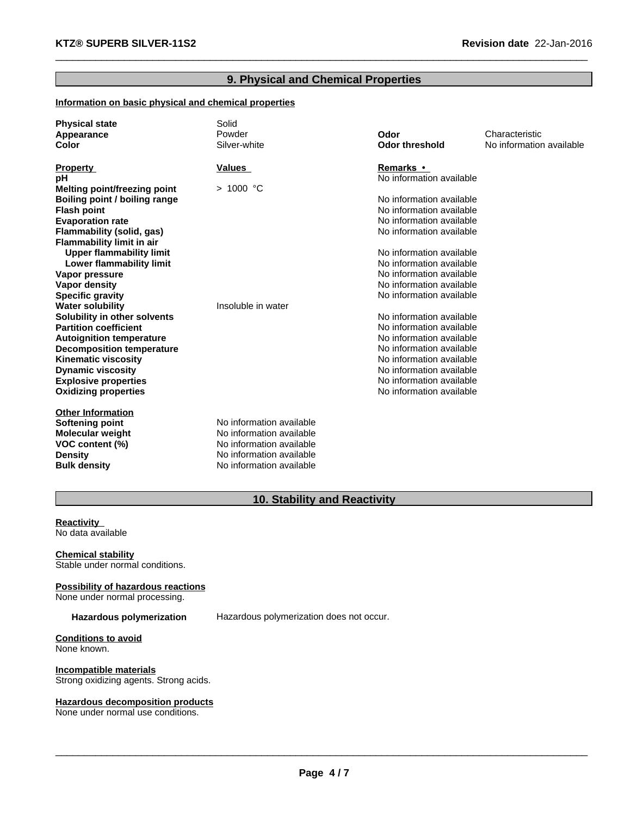#### **9. Physical and Chemical Properties**

#### **Information on basic physical and chemical properties**

| <b>Physical state</b><br>Appearance<br>Color | Solid<br>Powder<br>Silver-white | Odor<br><b>Odor threshold</b> | Characteristic<br>No information available |
|----------------------------------------------|---------------------------------|-------------------------------|--------------------------------------------|
| <b>Property</b>                              | <b>Values</b>                   | Remarks •                     |                                            |
| рH                                           |                                 | No information available      |                                            |
| <b>Melting point/freezing point</b>          | > 1000 °C                       |                               |                                            |
| Boiling point / boiling range                |                                 | No information available      |                                            |
| <b>Flash point</b>                           |                                 | No information available      |                                            |
| <b>Evaporation rate</b>                      |                                 | No information available      |                                            |
| Flammability (solid, gas)                    |                                 | No information available      |                                            |
| <b>Flammability limit in air</b>             |                                 |                               |                                            |
| <b>Upper flammability limit</b>              |                                 | No information available      |                                            |
| Lower flammability limit                     |                                 | No information available      |                                            |
| Vapor pressure                               |                                 | No information available      |                                            |
| Vapor density                                |                                 | No information available      |                                            |
| <b>Specific gravity</b>                      |                                 | No information available      |                                            |
| <b>Water solubility</b>                      | Insoluble in water              |                               |                                            |
| Solubility in other solvents                 |                                 | No information available      |                                            |
| <b>Partition coefficient</b>                 |                                 | No information available      |                                            |
| <b>Autoignition temperature</b>              |                                 | No information available      |                                            |
| <b>Decomposition temperature</b>             |                                 | No information available      |                                            |
| <b>Kinematic viscosity</b>                   |                                 | No information available      |                                            |
| <b>Dynamic viscosity</b>                     |                                 | No information available      |                                            |
| <b>Explosive properties</b>                  |                                 | No information available      |                                            |
| <b>Oxidizing properties</b>                  |                                 | No information available      |                                            |
| <b>Other Information</b>                     |                                 |                               |                                            |
| Softening point                              | No information available        |                               |                                            |
| <b>Molecular weight</b>                      | No information available        |                               |                                            |
| VOC content (%)                              | No information available        |                               |                                            |
| <b>Density</b>                               | No information available        |                               |                                            |
| <b>Bulk density</b>                          | No information available        |                               |                                            |

## **10. Stability and Reactivity**

**Reactivity<br>No data available<br>Chemical stability** No data available

Stable under normal conditions.

#### **Possibility of hazardous reactions**

None under normal processing.

**Hazardous polymerization** Hazardous polymerization does not occur.

#### **Conditions to avoid** None known.

**Incompatible materials** Strong oxidizing agents. Strong acids.

#### **Hazardous decomposition products**

None under normal use conditions.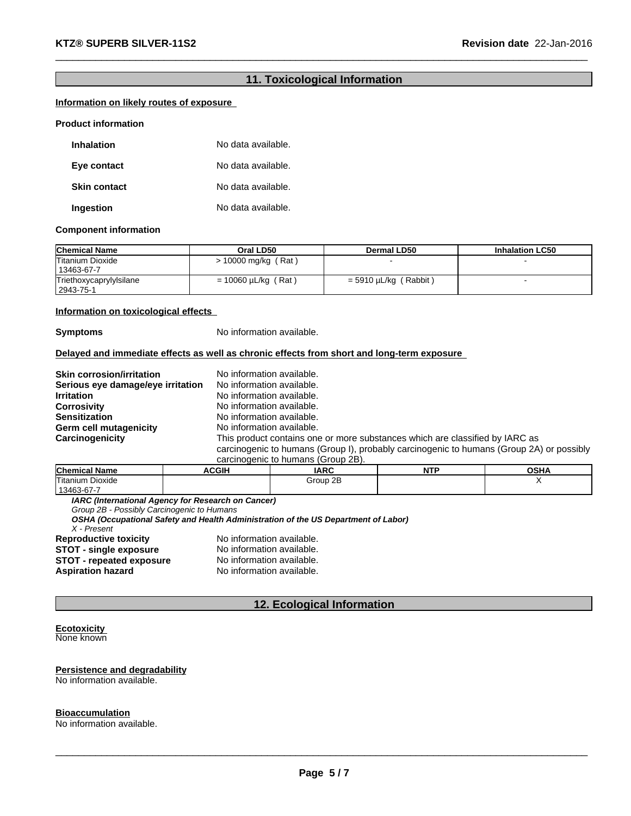#### **11. Toxicological Information**

# **Information on likely routes of exposure**<br>Product information

| <b>Inhalation</b>   | No data available. |
|---------------------|--------------------|
| Eye contact         | No data available. |
| <b>Skin contact</b> | No data available. |
| Ingestion           | No data available. |

#### **Component information**

| <b>Chemical Name</b>                    | Oral LD50                | <b>Dermal LD50</b>      | <b>Inhalation LC50</b> |
|-----------------------------------------|--------------------------|-------------------------|------------------------|
| <b>Titanium Dioxide</b><br>  13463-67-7 | > 10000 mg/kg (Rat)      |                         |                        |
| Triethoxycaprylylsilane<br>2943-75-1    | $= 10060 \mu L/kg$ (Rat) | $=$ 5910 µL/kg (Rabbit) |                        |

#### **Information on toxicological effects**

**Symptoms** No information available.

#### **Delayed and immediate effects as well as chronic effects from short and long-term exposure**

| <b>Skin corrosion/irritation</b>  | No information available.                                                                |
|-----------------------------------|------------------------------------------------------------------------------------------|
| Serious eye damage/eye irritation | No information available.                                                                |
| <b>Irritation</b>                 | No information available.                                                                |
| <b>Corrosivity</b>                | No information available.                                                                |
| <b>Sensitization</b>              | No information available.                                                                |
| Germ cell mutagenicity            | No information available.                                                                |
| Carcinogenicity                   | This product contains one or more substances which are classified by IARC as             |
|                                   | carcinogenic to humans (Group I), probably carcinogenic to humans (Group 2A) or possibly |
|                                   | carcinogenic to humans (Group 2B).                                                       |

| <b>Chemical</b><br>- - -<br>' Name | <b>ACGIH</b> | <b>IARC</b> | <b>NITI</b><br>IV I | <b>OCUA</b><br>UJNA |
|------------------------------------|--------------|-------------|---------------------|---------------------|
| Titanium Dioxide                   |              | Group 2B    |                     |                     |
| $'13463-67-$                       |              |             |                     |                     |

*IARC (International Agency for Research on Cancer)*

*Group 2B - Possibly Carcinogenic to Humans*

*OSHA (Occupational Safety and Health Administration of the US Department of Labor)*

*X - Present*

**Reproductive toxicity** No information available.<br>**STOT - single exposure** No information available. **STOT - single exposure** No information available. **STOT - repeated exposure** No information available. **Aspiration hazard** No information available.

#### **12. Ecological Information**

#### **Ecotoxicity**  None known

#### **Persistence and degradability** No information available.

#### **Bioaccumulation**

No information available.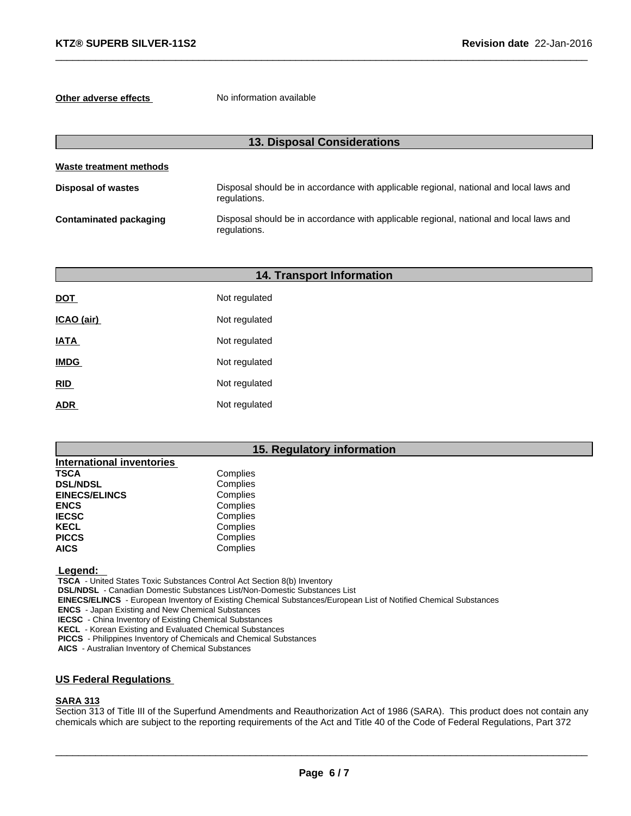**Other adverse effects** No information available

| <b>13. Disposal Considerations</b> |                                                                                                        |  |
|------------------------------------|--------------------------------------------------------------------------------------------------------|--|
| Waste treatment methods            |                                                                                                        |  |
| <b>Disposal of wastes</b>          | Disposal should be in accordance with applicable regional, national and local laws and<br>regulations. |  |
| <b>Contaminated packaging</b>      | Disposal should be in accordance with applicable regional, national and local laws and<br>regulations. |  |

|             | <b>14. Transport Information</b> |  |
|-------------|----------------------------------|--|
| <b>DOT</b>  | Not regulated                    |  |
| ICAO (air)  | Not regulated                    |  |
| <b>IATA</b> | Not regulated                    |  |
| <b>IMDG</b> | Not regulated                    |  |
| RID         | Not regulated                    |  |
| <b>ADR</b>  | Not regulated                    |  |

#### **15. Regulatory information**

| <b>International inventories</b> |          |
|----------------------------------|----------|
| <b>TSCA</b>                      | Complies |
| <b>DSL/NDSL</b>                  | Complies |
| <b>EINECS/ELINCS</b>             | Complies |
| <b>ENCS</b>                      | Complies |
| <b>IECSC</b>                     | Complies |
| <b>KECL</b>                      | Complies |
| <b>PICCS</b>                     | Complies |
| <b>AICS</b>                      | Complies |

 **Legend:** 

 **TSCA** - United States Toxic Substances Control Act Section 8(b) Inventory

 **DSL/NDSL** - Canadian Domestic Substances List/Non-Domestic Substances List

 **EINECS/ELINCS** - European Inventory of Existing Chemical Substances/European List of Notified Chemical Substances

 **ENCS** - Japan Existing and New Chemical Substances

 **IECSC** - China Inventory of Existing Chemical Substances

 **KECL** - Korean Existing and Evaluated Chemical Substances

 **PICCS** - Philippines Inventory of Chemicals and Chemical Substances

 **AICS** - Australian Inventory of Chemical Substances

#### **US Federal Regulations**

#### **SARA 313**

Section 313 of Title III of the Superfund Amendments and Reauthorization Act of 1986 (SARA). This product does not contain any chemicals which are subject to the reporting requirements of the Act and Title 40 of the Code of Federal Regulations, Part 372